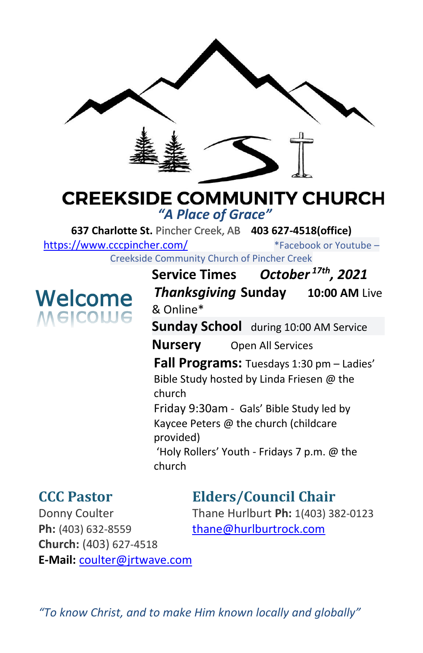

# **CREEKSIDE COMMUNITY CHURCH**

*"A Place of Grace"*

**637 Charlotte St.** Pincher Creek, AB **403 627-4518(office)**  <https://www.cccpincher.com/>\*Facebook or Youtube –

Creekside Community Church of Pincher Creek

# Welcome **NEICOME**

**Service Times** *October 17th, 2021 Thanksgiving* **Sunday 10:00 AM** Live & Online\* **Sunday School** during 10:00 AM Service **Nursery** Open All Services **Fall Programs:** Tuesdays 1:30 pm – Ladies' Bible Study hosted by Linda Friesen @ the church Friday 9:30am - Gals' Bible Study led by Kaycee Peters @ the church (childcare provided) 'Holy Rollers' Youth - Fridays 7 p.m. @ the

## **CCC Pastor Elders/Council Chair**

Ph: (403) 632-8559 [thane@hurlburtrock.com](mailto:thane@hurlburtrock.com) **Church:** (403) 627-4518 **E-Mail:** [coulter@jrtwave.com](mailto:coulter@jrtwave.com)

Donny Coulter Thane Hurlburt **Ph:** 1(403) 382-0123

*"To know Christ, and to make Him known locally and globally"*

church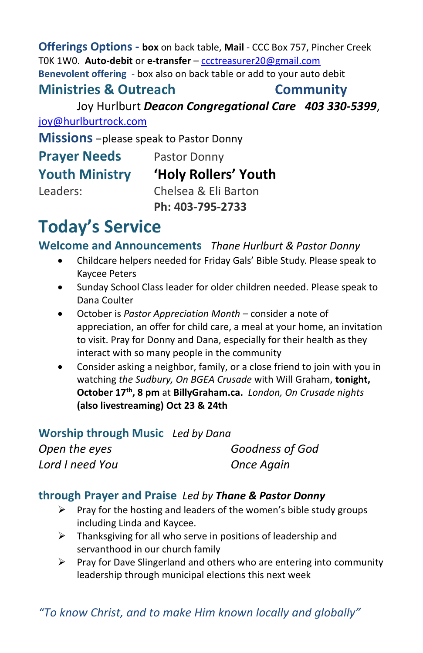#### **Offerings Options - box** on back table, **Mail** - CCC Box 757, Pincher Creek T0K 1W0. **Auto-debit** or **e-transfer** – [ccctreasurer20@gmail.com](mailto:ccctreasurer20@gmail.com) **Benevolent offering** - box also on back table or add to your auto debit

#### **Ministries & Outreach Community**

Joy Hurlburt *Deacon Congregational Care 403 330-5399*,

[joy@hurlburtrock.com](mailto:joy@hurlburtrock.com)

**Missions** –please speak to Pastor Donny

| <b>Prayer Needs</b>   | Pastor Donny         |
|-----------------------|----------------------|
| <b>Youth Ministry</b> | 'Holy Rollers' Youth |
| Leaders:              | Chelsea & Eli Barton |
|                       | Ph: 403-795-2733     |

## **Today's Service**

#### **Welcome and Announcements** *Thane Hurlburt & Pastor Donny*

- Childcare helpers needed for Friday Gals' Bible Study. Please speak to Kaycee Peters
- Sunday School Class leader for older children needed. Please speak to Dana Coulter
- October is *Pastor Appreciation Month* consider a note of appreciation, an offer for child care, a meal at your home, an invitation to visit. Pray for Donny and Dana, especially for their health as they interact with so many people in the community
- Consider asking a neighbor, family, or a close friend to join with you in watching *the Sudbury, On BGEA Crusade* with Will Graham, **tonight, October 17th, 8 pm** at **BillyGraham.ca.** *London, On Crusade nights* **(also livestreaming) Oct 23 & 24th**

#### **Worship through Music** *Led by Dana*

| Open the eyes   | Goodness of God |
|-----------------|-----------------|
| Lord I need You | Once Again      |

#### **through Prayer and Praise** *Led by Thane & Pastor Donny*

- $\triangleright$  Pray for the hosting and leaders of the women's bible study groups including Linda and Kaycee.
- ➢ Thanksgiving for all who serve in positions of leadership and servanthood in our church family
- $\triangleright$  Pray for Dave Slingerland and others who are entering into community leadership through municipal elections this next week

*"To know Christ, and to make Him known locally and globally"*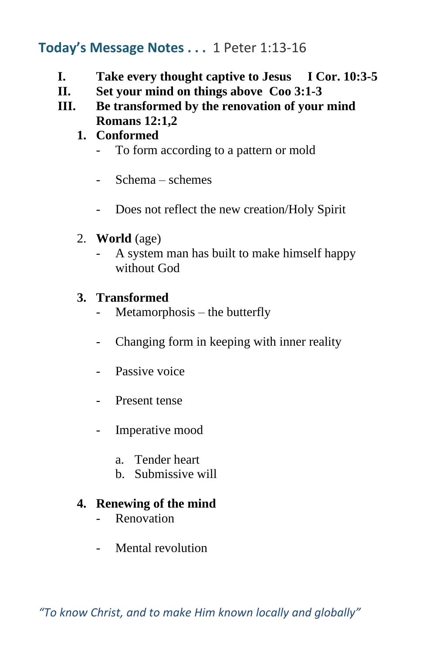### **Today's Message Notes . . .** 1 Peter 1:13-16

- **I. Take every thought captive to Jesus I Cor. 10:3-5**
- **II. Set your mind on things above Coo 3:1-3**
- **III. Be transformed by the renovation of your mind Romans 12:1,2**
	- **1. Conformed**
		- To form according to a pattern or mold
		- Schema schemes
		- Does not reflect the new creation/Holy Spirit
	- 2. **World** (age)
		- A system man has built to make himself happy without God

#### **3. Transformed**

- Metamorphosis the butterfly
- Changing form in keeping with inner reality
- Passive voice
- Present tense
- Imperative mood
	- a. Tender heart
	- b. Submissive will

#### **4. Renewing of the mind**

- Renovation
- Mental revolution

*"To know Christ, and to make Him known locally and globally"*